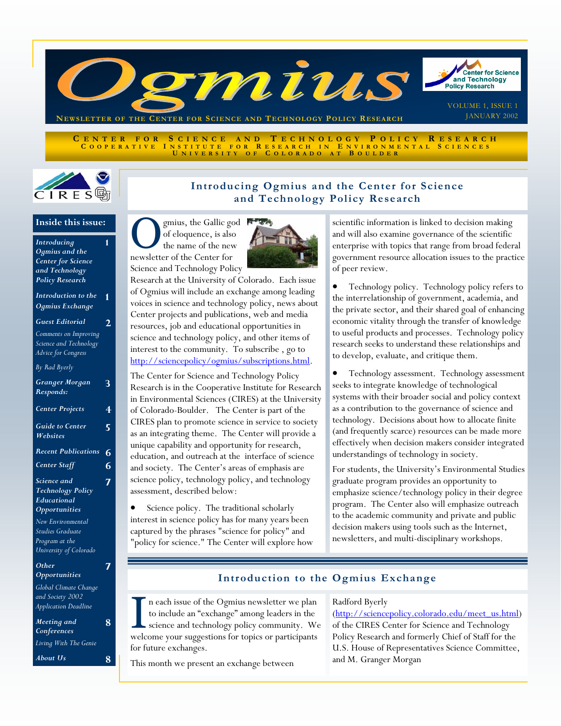

CENTER FOR SCIENCE AND TECHNOLOGY POLICY RESEARCH<br>COOPERATIVE INSTITUTE FOR RESEARCH IN ENVIRONMENTAL SCIENCES<br>UNIVERSITY OF COLORADO AT BOULDER



## **Introducing Ogmius and the Center for Science and Technology Policy Research**

# **Inside this issue:**

| Introducing                              | 1              |
|------------------------------------------|----------------|
| Ogmius and the                           |                |
| Center for Science                       |                |
| and Technology                           |                |
| <b>Policy Research</b>                   |                |
|                                          |                |
| Introduction to the                      | 1              |
| Ogmius Exchange                          |                |
| <b>Guest Editorial</b>                   | 2              |
| Comments on Improving                    |                |
| Science and Technology                   |                |
| Advice for Congress                      |                |
| By Rad Byerly                            |                |
| <b>Granger Morgan</b>                    | 3              |
| Responds:                                |                |
|                                          |                |
| <b>Center Projects</b>                   | $\overline{4}$ |
|                                          |                |
| <b>Guide to Center</b>                   | 5              |
|                                          |                |
| Websites                                 |                |
| <b>Recent Publications</b>               | 6              |
| <b>Center Staff</b>                      | 6              |
| Science and                              |                |
| <b>Technology Policy</b>                 | 7              |
| Educational                              |                |
| <b>Opportunities</b>                     |                |
| New Environmental                        |                |
| Studies Graduate                         |                |
|                                          |                |
| Program at the<br>University of Colorado |                |
|                                          |                |
| Other                                    |                |
| Opportunities                            |                |
| Global Climate Change                    |                |
| and Society 2002                         |                |
| Application Deadline                     |                |

| Application Deadline       |   |
|----------------------------|---|
| Meeting and<br>Conferences | 8 |
| Living With The Genie      |   |
| About Us                   | 8 |

gmius, the Gallic god of eloquence, is also the name of the new newsletter of the Center for Science and Technology Policy



Research at the University of Colorado. Each issue of Ogmius will include an exchange among leading voices in science and technology policy, news about Center projects and publications, web and media resources, job and educational opportunities in science and technology policy, and other items of interest to the community. To subscribe , go to [http://sciencepolicy/ogmius/subscriptions.html.](http://sciencepolicy/ogmius/subscriptions.html) 

The Center for Science and Technology Policy Research is in the Cooperative Institute for Research in Environmental Sciences (CIRES) at the University of Colorado-Boulder. The Center is part of the CIRES plan to promote science in service to society as an integrating theme. The Center will provide a unique capability and opportunity for research, education, and outreach at the interface of science and society. The Center's areas of emphasis are science policy, technology policy, and technology assessment, described below:

Science policy. The traditional scholarly interest in science policy has for many years been captured by the phrases "science for policy" and "policy for science." The Center will explore how scientific information is linked to decision making and will also examine governance of the scientific enterprise with topics that range from broad federal government resource allocation issues to the practice of peer review.

• Technology policy. Technology policy refers to the interrelationship of government, academia, and the private sector, and their shared goal of enhancing economic vitality through the transfer of knowledge to useful products and processes. Technology policy research seeks to understand these relationships and to develop, evaluate, and critique them.

• Technology assessment. Technology assessment seeks to integrate knowledge of technological systems with their broader social and policy context as a contribution to the governance of science and technology. Decisions about how to allocate finite (and frequently scarce) resources can be made more effectively when decision makers consider integrated understandings of technology in society.

For students, the University's Environmental Studies graduate program provides an opportunity to emphasize science/technology policy in their degree program. The Center also will emphasize outreach to the academic community and private and public decision makers using tools such as the Internet, newsletters, and multi-disciplinary workshops.

## **Introduction to the Ogmius Exchange**

I n each issue of the Ogmius newsletter we plan<br>to include an "exchange" among leaders in the<br>science and technology policy community. We to include an "exchange" among leaders in the welcome your suggestions for topics or participants for future exchanges.

This month we present an exchange between

### Radford Byerly

(http://sciencepolicy.colorado.edu/meet\_us.html) of the CIRES Center for Science and Technology Policy Research and formerly Chief of Staff for the U.S. House of Representatives Science Committee, and M. Granger Morgan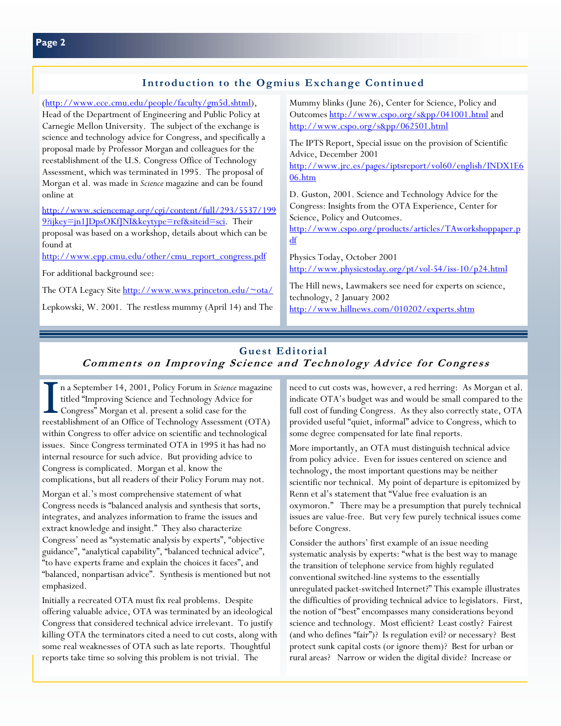[\(http://www.ece.cmu.edu/people/faculty/gm5d.shtml\),](http://www.ece.cmu.edu/people/faculty/gm5d.shtml)  Head of the Department of Engineering and Public Policy at Carnegie Mellon University. The subject of the exchange is science and technology advice for Congress, and specifically a

proposal made by Professor Morgan and colleagues for the reestablishment of the U.S. Congress Office of Technology Assessment, which was terminated in 1995. The proposal of Morgan et al. was made in *Science* magazine and can be found online at

[http://www.sciencemag.org/cgi/content/full/293/5537/199](http://www.sciencemag.org/cgi/content/full/293/5537/1999?ijkey=jn1JDpsOKfJNI&keytype=ref&siteid=sci) 9?ijkey=jn1JDpsOKfJNI&keytype=ref&siteid=sci. Their proposal was based on a workshop, details about which can be found at

http://www.epp.cmu.edu/other/cmu\_report\_congress.pdf

For additional background see:

The OTA Legacy Site<http://www.wws.princeton.edu/~ota/>

Lepkowski, W. 2001. The restless mummy (April 14) and The

Mummy blinks (June 26), Center for Science, Policy and Outcome[s http://www.cspo.org/s&pp/041001.html](http://www.cspo.org/s&pp/041001.html) and <http://www.cspo.org/s&pp/062501.html>

The IPTS Report, Special issue on the provision of Scientific Advice, December 2001

[http://www.jrc.es/pages/iptsreport/vol60/english/INDX1E6](http://www.jrc.es/pages/iptsreport/vol60/english/INDX1E606.htm) 06.htm

D. Guston, 2001. Science and Technology Advice for the Congress: Insights from the OTA Experience, Center for Science, Policy and Outcomes.

[http://www.cspo.org/products/articles/TAworkshoppaper.p](http://www.cspo.org/products/articles/TAworkshoppaper.pdf) df

Physics Today, October 2001 <http://www.physicstoday.org/pt/vol-54/iss-10/p24.html>

The Hill news, Lawmakers see need for experts on science, technology, 2 January 2002 <http://www.hillnews.com/010202/experts.shtm>

## **Guest Editorial Comments on Improving Science and Technology Advice for Congress**

I n a September 14, 2001, Policy Forum in *Science* magazine titled "Improving Science and Technology Advice for Congress" Morgan et al. present a solid case for the reestablishment of an Office of Technology Assessment (OTA) within Congress to offer advice on scientific and technological issues. Since Congress terminated OTA in 1995 it has had no internal resource for such advice. But providing advice to Congress is complicated. Morgan et al. know the complications, but all readers of their Policy Forum may not.

Morgan et al.'s most comprehensive statement of what Congress needs is "balanced analysis and synthesis that sorts, integrates, and analyzes information to frame the issues and extract knowledge and insight." They also characterize Congress' need as "systematic analysis by experts", "objective guidance", "analytical capability", "balanced technical advice", "to have experts frame and explain the choices it faces", and "balanced, nonpartisan advice". Synthesis is mentioned but not emphasized.

Initially a recreated OTA must fix real problems. Despite offering valuable advice, OTA was terminated by an ideological Congress that considered technical advice irrelevant. To justify killing OTA the terminators cited a need to cut costs, along with some real weaknesses of OTA such as late reports. Thoughtful reports take time so solving this problem is not trivial. The

need to cut costs was, however, a red herring: As Morgan et al. indicate OTA's budget was and would be small compared to the full cost of funding Congress. As they also correctly state, OTA provided useful "quiet, informal" advice to Congress, which to some degree compensated for late final reports.

More importantly, an OTA must distinguish technical advice from policy advice. Even for issues centered on science and technology, the most important questions may be neither scientific nor technical. My point of departure is epitomized by Renn et al's statement that "Value free evaluation is an oxymoron." There may be a presumption that purely technical issues are value-free. But very few purely technical issues come before Congress.

Consider the authors' first example of an issue needing systematic analysis by experts: "what is the best way to manage the transition of telephone service from highly regulated conventional switched-line systems to the essentially unregulated packet-switched Internet?" This example illustrates the difficulties of providing technical advice to legislators. First, the notion of "best" encompasses many considerations beyond science and technology. Most efficient? Least costly? Fairest (and who defines "fair")? Is regulation evil? or necessary? Best protect sunk capital costs (or ignore them)? Best for urban or rural areas? Narrow or widen the digital divide? Increase or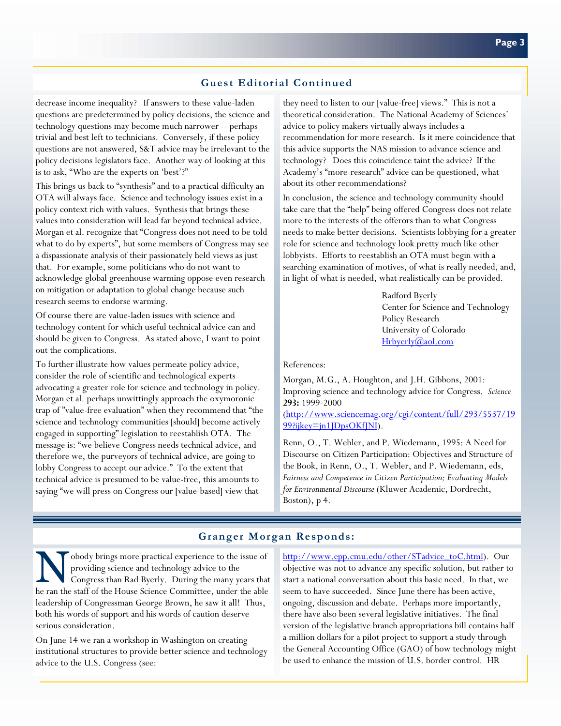### **Guest Editorial Continued**

decrease income inequality? If answers to these value-laden questions are predetermined by policy decisions, the science and technology questions may become much narrower -- perhaps trivial and best left to technicians. Conversely, if these policy questions are not answered, S&T advice may be irrelevant to the policy decisions legislators face. Another way of looking at this is to ask, "Who are the experts on 'best'?"

This brings us back to "synthesis" and to a practical difficulty an OTA will always face. Science and technology issues exist in a policy context rich with values. Synthesis that brings these values into consideration will lead far beyond technical advice. Morgan et al. recognize that "Congress does not need to be told what to do by experts", but some members of Congress may see a dispassionate analysis of their passionately held views as just that. For example, some politicians who do not want to acknowledge global greenhouse warming oppose even research on mitigation or adaptation to global change because such research seems to endorse warming.

Of course there are value-laden issues with science and technology content for which useful technical advice can and should be given to Congress. As stated above, I want to point out the complications.

To further illustrate how values permeate policy advice, consider the role of scientific and technological experts advocating a greater role for science and technology in policy. Morgan et al. perhaps unwittingly approach the oxymoronic trap of "value-free evaluation" when they recommend that "the science and technology communities [should] become actively engaged in supporting" legislation to reestablish OTA. The message is: "we believe Congress needs technical advice, and therefore we, the purveyors of technical advice, are going to lobby Congress to accept our advice." To the extent that technical advice is presumed to be value-free, this amounts to saying "we will press on Congress our [value-based] view that

they need to listen to our [value-free] views." This is not a theoretical consideration. The National Academy of Sciences' advice to policy makers virtually always includes a recommendation for more research. Is it mere coincidence that this advice supports the NAS mission to advance science and technology? Does this coincidence taint the advice? If the Academy's "more-research" advice can be questioned, what about its other recommendations?

In conclusion, the science and technology community should take care that the "help" being offered Congress does not relate more to the interests of the offerors than to what Congress needs to make better decisions. Scientists lobbying for a greater role for science and technology look pretty much like other lobbyists. Efforts to reestablish an OTA must begin with a searching examination of motives, of what is really needed, and, in light of what is needed, what realistically can be provided.

> Radford Byerly Center for Science and Technology Policy Research University of Colorado [Hrbyerly@aol.com](mailto:Hrbyerly@aol.com)

References:

Morgan, M.G., A. Houghton, and J.H. Gibbons, 2001: Improving science and technology advice for Congress. *Science* **293:** 1999-2000

[\(http://www.sciencemag.org/cgi/content/full/293/5537/19](http://www.sciencemag.org/cgi/content/full/293/5537/1999?ijkey=jn1JDpsOKfJNI) 99?ijkey=jn1JDpsOKfJNI).

Renn, O., T. Webler, and P. Wiedemann, 1995: A Need for Discourse on Citizen Participation: Objectives and Structure of the Book, in Renn, O., T. Webler, and P. Wiedemann, eds, *Fairness and Competence in Citizen Participation; Evaluating Models for Environmental Discourse* (Kluwer Academic, Dordrecht, Boston), p 4.

## **Granger Morgan Responds:**

N obody brings more practical experience to the issue of providing science and technology advice to the Congress than Rad Byerly. During the many years that providing science and technology advice to the he ran the staff of the House Science Committee, under the able leadership of Congressman George Brown, he saw it all! Thus, both his words of support and his words of caution deserve serious consideration.

On June 14 we ran a workshop in Washington on creating institutional structures to provide better science and technology advice to the U.S. Congress (see:

[http://www.epp.cmu.edu/other/STadvice\\_toC.html\).](http://www.epp.cmu.edu/other/STadvice_toC.html) Our objective was not to advance any specific solution, but rather to start a national conversation about this basic need. In that, we seem to have succeeded. Since June there has been active, ongoing, discussion and debate. Perhaps more importantly, there have also been several legislative initiatives. The final version of the legislative branch appropriations bill contains half a million dollars for a pilot project to support a study through the General Accounting Office (GAO) of how technology might be used to enhance the mission of U.S. border control. HR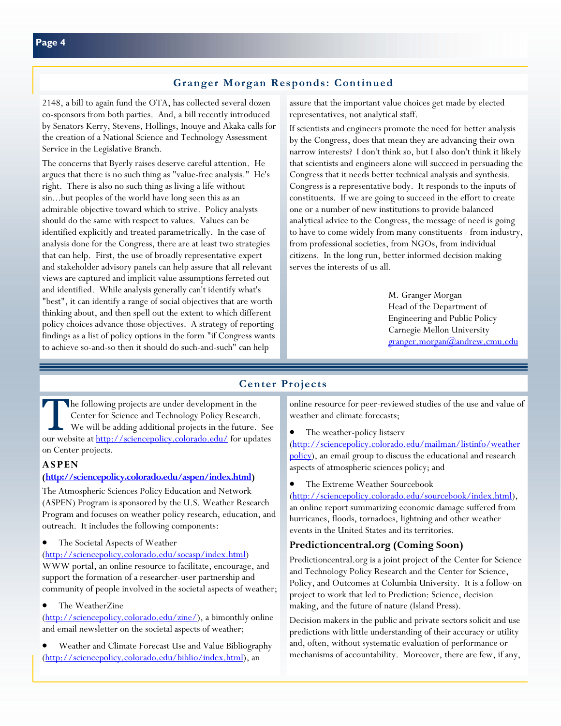2148, a bill to again fund the OTA, has collected several dozen co-sponsors from both parties. And, a bill recently introduced by Senators Kerry, Stevens, Hollings, Inouye and Akaka calls for the creation of a National Science and Technology Assessment Service in the Legislative Branch.

The concerns that Byerly raises deserve careful attention. He argues that there is no such thing as "value-free analysis." He's right. There is also no such thing as living a life without sin...but peoples of the world have long seen this as an admirable objective toward which to strive. Policy analysts should do the same with respect to values. Values can be identified explicitly and treated parametrically. In the case of analysis done for the Congress, there are at least two strategies that can help. First, the use of broadly representative expert and stakeholder advisory panels can help assure that all relevant views are captured and implicit value assumptions ferreted out and identified. While analysis generally can't identify what's "best", it can identify a range of social objectives that are worth thinking about, and then spell out the extent to which different policy choices advance those objectives. A strategy of reporting findings as a list of policy options in the form "if Congress wants to achieve so-and-so then it should do such-and-such" can help

assure that the important value choices get made by elected representatives, not analytical staff.

If scientists and engineers promote the need for better analysis by the Congress, does that mean they are advancing their own narrow interests? I don't think so, but I also don't think it likely that scientists and engineers alone will succeed in persuading the Congress that it needs better technical analysis and synthesis. Congress is a representative body. It responds to the inputs of constituents. If we are going to succeed in the effort to create one or a number of new institutions to provide balanced analytical advice to the Congress, the message of need is going to have to come widely from many constituents - from industry, from professional societies, from NGOs, from individual citizens. In the long run, better informed decision making serves the interests of us all.

> M. Granger Morgan Head of the Department of Engineering and Public Policy Carnegie Mellon University [granger.morgan@andrew.cmu.edu](mailto:granger.morgan@andrew.cmu.edu)

## **Center Projects**

The following projects are under development in the<br>
Center for Science and Technology Policy Research.<br>
We will be adding additional projects in the future. See<br>
See the future of the future of the future of the future of Center for Science and Technology Policy Research. our website at<http://sciencepolicy.colorado.edu/>for updates on Center projects.

#### **ASPEN**

#### **[\(http://sciencepolicy.colorado.edu/aspen/index.html\)](http://sciencepolicy.colorado.edu/aspen/index.html)**

The Atmospheric Sciences Policy Education and Network (ASPEN) Program is sponsored by the U.S. Weather Research Program and focuses on weather policy research, education, and outreach. It includes the following components:

The Societal Aspects of Weather

(http://sciencepolicy.colorado.edu/socasp/index.html)

WWW portal, an online resource to facilitate, encourage, and support the formation of a researcher-user partnership and community of people involved in the societal aspects of weather;

- The WeatherZine
- [\(http://sciencepolicy.colorado.edu/zine/\),](http://sciencepolicy.colorado.edu/zine/) a bimonthly online and email newsletter on the societal aspects of weather;
- Weather and Climate Forecast Use and Value Bibliography [\(http://sciencepolicy.colorado.edu/biblio/index.html\),](http://sciencepolicy.colorado.edu/biblio/index.html) an

online resource for peer-reviewed studies of the use and value of weather and climate forecasts;

The weather-policy listserv

(http://sciencepolicy.colorado.edu/mailman/listinfo/weather [policy\), an email group to discuss the educational and research](http://sciencepolicy.colorado.edu/mailman/listinfo/weatherpolicy)  aspects of atmospheric sciences policy; and

#### The Extreme Weather Sourcebook

[\(http://sciencepolicy.colorado.edu/sourcebook/index.html\),](http://sciencepolicy.colorado.edu/sourcebook/index.html)  an online report summarizing economic damage suffered from hurricanes, floods, tornadoes, lightning and other weather events in the United States and its territories.

#### **Predictioncentral.org (Coming Soon)**

Predictioncentral.org is a joint project of the Center for Science and Technology Policy Research and the Center for Science, Policy, and Outcomes at Columbia University. It is a follow-on project to work that led to Prediction: Science, decision making, and the future of nature (Island Press).

Decision makers in the public and private sectors solicit and use predictions with little understanding of their accuracy or utility and, often, without systematic evaluation of performance or mechanisms of accountability. Moreover, there are few, if any,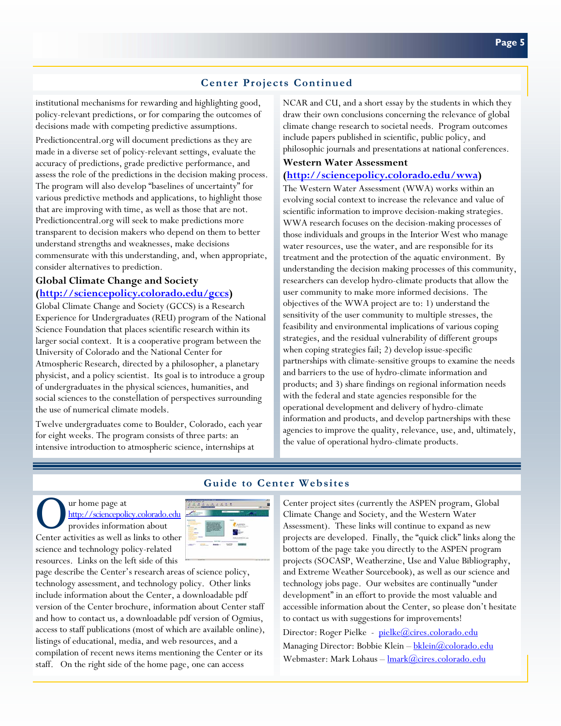## **Center Projects Continued**

institutional mechanisms for rewarding and highlighting good, policy-relevant predictions, or for comparing the outcomes of decisions made with competing predictive assumptions.

Predictioncentral.org will document predictions as they are made in a diverse set of policy-relevant settings, evaluate the accuracy of predictions, grade predictive performance, and assess the role of the predictions in the decision making process. The program will also develop "baselines of uncertainty" for various predictive methods and applications, to highlight those that are improving with time, as well as those that are not. Predictioncentral.org will seek to make predictions more transparent to decision makers who depend on them to better understand strengths and weaknesses, make decisions commensurate with this understanding, and, when appropriate, consider alternatives to prediction.

### **Global Climate Change and Society [\(http://sciencepolicy.colorado.edu/gccs\)](http://sciencepolicy.colorado.edu/gccs)**

Global Climate Change and Society (GCCS) is a Research Experience for Undergraduates (REU) program of the National Science Foundation that places scientific research within its larger social context. It is a cooperative program between the University of Colorado and the National Center for Atmospheric Research, directed by a philosopher, a planetary physicist, and a policy scientist. Its goal is to introduce a group of undergraduates in the physical sciences, humanities, and social sciences to the constellation of perspectives surrounding the use of numerical climate models.

Twelve undergraduates come to Boulder, Colorado, each year for eight weeks. The program consists of three parts: an intensive introduction to atmospheric science, internships at

NCAR and CU, and a short essay by the students in which they draw their own conclusions concerning the relevance of global climate change research to societal needs. Program outcomes include papers published in scientific, public policy, and philosophic journals and presentations at national conferences.

#### **Western Water Assessment**

#### **[\(http://sciencepolicy.colorado.edu/wwa\)](http://sciencepolicy.colorado.edu/wwa)**

The Western Water Assessment (WWA) works within an evolving social context to increase the relevance and value of scientific information to improve decision-making strategies. WWA research focuses on the decision-making processes of those individuals and groups in the Interior West who manage water resources, use the water, and are responsible for its treatment and the protection of the aquatic environment. By understanding the decision making processes of this community, researchers can develop hydro-climate products that allow the user community to make more informed decisions. The objectives of the WWA project are to: 1) understand the sensitivity of the user community to multiple stresses, the feasibility and environmental implications of various coping strategies, and the residual vulnerability of different groups when coping strategies fail; 2) develop issue-specific partnerships with climate-sensitive groups to examine the needs and barriers to the use of hydro-climate information and products; and 3) share findings on regional information needs with the federal and state agencies responsible for the operational development and delivery of hydro-climate information and products, and develop partnerships with these agencies to improve the quality, relevance, use, and, ultimately, the value of operational hydro-climate products.

### **Guide to Center Websites**

O ur home page at<br>
<u>http://sciencepolicy.colorado.</u><br>
provides information about <http://sciencepolicy.colorado.edu> Center activities as well as links to other science and technology policy-related resources. Links on the left side of this



page describe the Center's research areas of science policy, technology assessment, and technology policy. Other links include information about the Center, a downloadable pdf version of the Center brochure, information about Center staff and how to contact us, a downloadable pdf version of Ogmius, access to staff publications (most of which are available online), listings of educational, media, and web resources, and a compilation of recent news items mentioning the Center or its staff. On the right side of the home page, one can access

Center project sites (currently the ASPEN program, Global Climate Change and Society, and the Western Water Assessment). These links will continue to expand as new projects are developed. Finally, the "quick click" links along the bottom of the page take you directly to the ASPEN program projects (SOCASP, Weatherzine, Use and Value Bibliography, and Extreme Weather Sourcebook), as well as our science and technology jobs page. Our websites are continually "under development" in an effort to provide the most valuable and accessible information about the Center, so please don't hesitate to contact us with suggestions for improvements!

Director: Roger Pielke - [pielke@cires.colorado.edu](mailto:pielke@cires.colorado.edu) Managing Director: Bobbie Klein - bklein@colorado.edu Webmaster: Mark Lohaus -  $\frac{\text{lmark}(\hat{a})}{\text{cires.colorado.edu}}$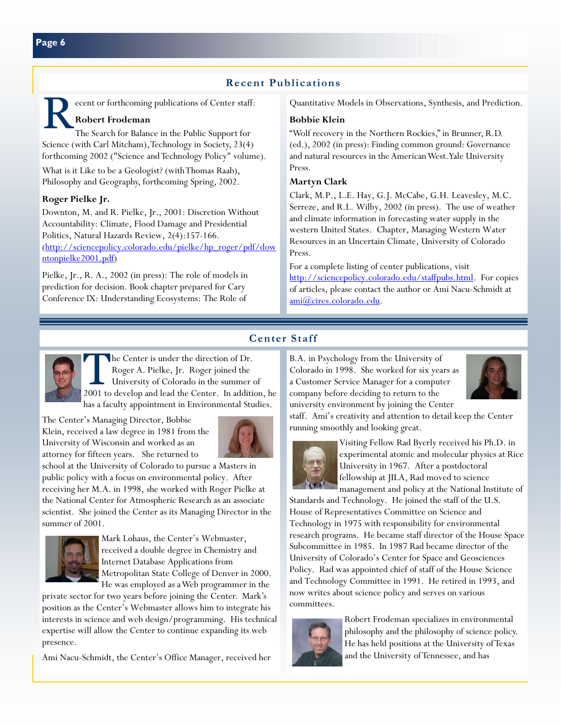## **Recent Publications**

Reflections of Center staff:<br>
The Search for Balance in the Public Support for<br>
The Search for Balance in the Public Support for **Robert Frodeman**

Science (with Carl Mitcham), Technology in Society, 23(4) forthcoming 2002 ("Science and Technology Policy" volume).

What is it Like to be a Geologist? (with Thomas Raab), Philosophy and Geography, forthcoming Spring, 2002.

#### **Roger Pielke Jr.**

Downton, M. and R. Pielke, Jr., 2001: Discretion Without Accountability: Climate, Flood Damage and Presidential Politics, Natural Hazards Review, 2(4):157-166. [\(http://sciencepolicy.colorado.edu/pielke/hp\\_roger/pdf/dow](http://sciencepolicy.colorado.edu/pielke/hp_roger/pdf/downtonpielke2001.pdf) ntonpielke2001.pdf)

Pielke, Jr., R. A., 2002 (in press): The role of models in prediction for decision. Book chapter prepared for Cary Conference IX: Understanding Ecosystems: The Role of

Quantitative Models in Observations, Synthesis, and Prediction.

#### **Bobbie Klein**

"Wolf recovery in the Northern Rockies," in Brunner, R.D. (ed.), 2002 (in press): Finding common ground: Governance and natural resources in the American West. Yale University Press.

#### **Martyn Clark**

Clark, M.P., L.E. Hay, G.J. McCabe, G.H. Leavesley, M.C. Serreze, and R.L. Wilby, 2002 (in press). The use of weather and climate information in forecasting water supply in the western United States. Chapter, Managing Western Water Resources in an Uncertain Climate, University of Colorado Press.

For a complete listing of center publications, visit [http://sciencepolicy.colorado.edu/staffpubs.html.](http://sciencepolicy.colorado.edu/staffpubs.html) For copies of articles, please contact the author or Ami Nacu-Schmidt at [ami@cires.colorado.edu.](mailto:ami@cires.colorado.edu)



### **Center Staff**

The Center is under the direction of Dr.<br>
Roger A. Pielke, Jr. Roger joined the<br>
University of Colorado in the summer of<br>
2001 to days and lead the Center. In addition Roger A. Pielke, Jr. Roger joined the 2001 to develop and lead the Center. In addition, he has a faculty appointment in Environmental Studies.

The Center's Managing Director, Bobbie Klein, received a law degree in 1981 from the University of Wisconsin and worked as an attorney for fifteen years. She returned to



school at the University of Colorado to pursue a Masters in public policy with a focus on environmental policy. After receiving her M.A. in 1998, she worked with Roger Pielke at the National Center for Atmospheric Research as an associate scientist. She joined the Center as its Managing Director in the summer of 2001.



Mark Lohaus, the Center's Webmaster, received a double degree in Chemistry and Internet Database Applications from Metropolitan State College of Denver in 2000. He was employed as a Web programmer in the

private sector for two years before joining the Center. Mark's position as the Center's Webmaster allows him to integrate his interests in science and web design/programming. His technical expertise will allow the Center to continue expanding its web presence.

Ami Nacu-Schmidt, the Center's Office Manager, received her

B.A. in Psychology from the University of Colorado in 1998. She worked for six years as a Customer Service Manager for a computer company before deciding to return to the university environment by joining the Center



staff. Ami's creativity and attention to detail keep the Center running smoothly and looking great.



Visiting Fellow Rad Byerly received his Ph.D. in experimental atomic and molecular physics at Rice University in 1967. After a postdoctoral fellowship at JILA, Rad moved to science management and policy at the National Institute of

Standards and Technology. He joined the staff of the U.S. House of Representatives Committee on Science and Technology in 1975 with responsibility for environmental research programs. He became staff director of the House Space Subcommittee in 1985. In 1987 Rad became director of the University of Colorado's Center for Space and Geosciences Policy. Rad was appointed chief of staff of the House Science and Technology Committee in 1991. He retired in 1993, and now writes about science policy and serves on various committees.



Robert Frodeman specializes in environmental philosophy and the philosophy of science policy. He has held positions at the University of Texas and the University of Tennessee, and has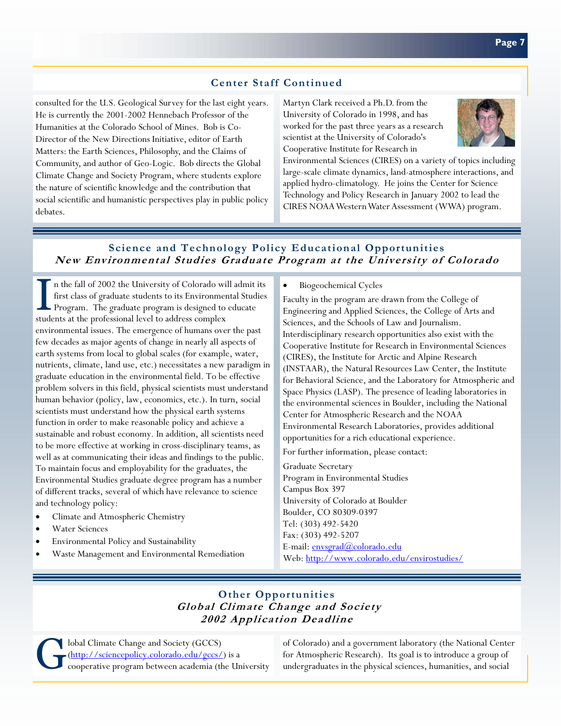## **Center Staff Continued**

consulted for the U.S. Geological Survey for the last eight years. He is currently the 2001-2002 Hennebach Professor of the Humanities at the Colorado School of Mines. Bob is Co-Director of the New Directions Initiative, editor of Earth Matters: the Earth Sciences, Philosophy, and the Claims of Community, and author of Geo-Logic. Bob directs the Global Climate Change and Society Program, where students explore the nature of scientific knowledge and the contribution that social scientific and humanistic perspectives play in public policy debates.

Martyn Clark received a Ph.D. from the University of Colorado in 1998, and has worked for the past three years as a research scientist at the University of Colorado's Cooperative Institute for Research in



Environmental Sciences (CIRES) on a variety of topics including large-scale climate dynamics, land-atmosphere interactions, and applied hydro-climatology. He joins the Center for Science Technology and Policy Research in January 2002 to lead the CIRES NOAA Western Water Assessment (WWA) program.

### **Science and Technology Policy Educational Opportunities New Environmental Studies Graduate Program at the University of Colorado**

I n the fall of 2002 the University of Colorado will admit its<br>first class of graduate students to its Environmental Studies<br>Program. The graduate program is designed to educate first class of graduate students to its Environmental Studies Program. The graduate program is designed to educate students at the professional level to address complex environmental issues. The emergence of humans over the past few decades as major agents of change in nearly all aspects of earth systems from local to global scales (for example, water, nutrients, climate, land use, etc.) necessitates a new paradigm in graduate education in the environmental field. To be effective problem solvers in this field, physical scientists must understand human behavior (policy, law, economics, etc.). In turn, social scientists must understand how the physical earth systems function in order to make reasonable policy and achieve a sustainable and robust economy. In addition, all scientists need to be more effective at working in cross-disciplinary teams, as well as at communicating their ideas and findings to the public. To maintain focus and employability for the graduates, the Environmental Studies graduate degree program has a number of different tracks, several of which have relevance to science and technology policy:

- Climate and Atmospheric Chemistry
- Water Sciences
- Environmental Policy and Sustainability
- Waste Management and Environmental Remediation

• Biogeochemical Cycles

Faculty in the program are drawn from the College of Engineering and Applied Sciences, the College of Arts and Sciences, and the Schools of Law and Journalism. Interdisciplinary research opportunities also exist with the Cooperative Institute for Research in Environmental Sciences (CIRES), the Institute for Arctic and Alpine Research (INSTAAR), the Natural Resources Law Center, the Institute for Behavioral Science, and the Laboratory for Atmospheric and Space Physics (LASP). The presence of leading laboratories in the environmental sciences in Boulder, including the National Center for Atmospheric Research and the NOAA Environmental Research Laboratories, provides additional opportunities for a rich educational experience.

For further information, please contact:

Graduate Secretary Program in Environmental Studies Campus Box 397 University of Colorado at Boulder Boulder, CO 80309-0397 Tel: (303) 492-5420 Fax: (303) 492-5207 E-mail: [envsgrad@colorado.edu](mailto:envsgrad@colorado.edu) Web:<http://www.colorado.edu/envirostudies/>

## **Other Opportunities Global Climate Change and Society 2002 Application Deadline**

Iobal Climate Change and Society (GCCS)<br>
Contrado.edu/gccs/
cooperative program between academia (the cooperative program between academia (the cooperation) [\(http://sciencepolicy.colorado.edu/gccs/\)](http://sciencepolicy.colorado.edu/gccs/) is a cooperative program between academia (the University

of Colorado) and a government laboratory (the National Center for Atmospheric Research). Its goal is to introduce a group of undergraduates in the physical sciences, humanities, and social